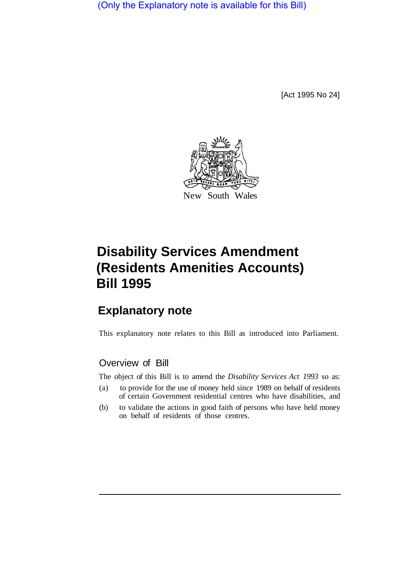(Only the Explanatory note is available for this Bill)

[Act 1995 No 24]



# **Disability Services Amendment (Residents Amenities Accounts) Bill 1995**

## **Explanatory note**

This explanatory note relates to this Bill as introduced into Parliament.

## Overview of Bill

The object of this Bill is to amend the *Disability Services Act 1993* so as:

- (a) to provide for the use of money held since 1989 on behalf of residents of certain Government residential centres who have disabilities, and
- (b) to validate the actions in good faith of persons who have held money on behalf of residents of those centres.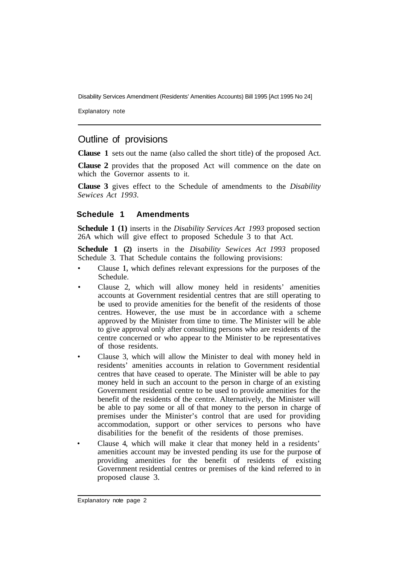Disability Services Amendment (Residents' Amenities Accounts) Bill 1995 [Act 1995 No 24]

Explanatory note

### Outline of provisions

**Clause 1** sets out the name (also called the short title) of the proposed Act.

**Clause 2** provides that the proposed Act will commence on the date on which the Governor assents to it.

**Clause 3** gives effect to the Schedule of amendments to the *Disability Sewices Act 1993.* 

#### **Schedule 1 Amendments**

**Schedule 1 (1)** inserts in the *Disability Services Act 1993* proposed section 26A which will give effect to proposed Schedule 3 to that Act.

**Schedule 1 (2)** inserts in the *Disability Sewices Act 1993* proposed Schedule 3. That Schedule contains the following provisions:

- Clause **1,** which defines relevant expressions for the purposes of the Schedule.
- Clause 2, which will allow money held in residents' amenities accounts at Government residential centres that are still operating to be used to provide amenities for the benefit of the residents of those centres. However, the use must be in accordance with a scheme approved by the Minister from time to time. The Minister will be able to give approval only after consulting persons who are residents of the centre concerned or who appear to the Minister to be representatives of those residents.
- Clause 3, which will allow the Minister to deal with money held in residents' amenities accounts in relation to Government residential centres that have ceased to operate. The Minister will be able to pay money held in such an account to the person in charge of an existing Government residential centre to be used to provide amenities for the benefit of the residents of the centre. Alternatively, the Minister will be able to pay some or all of that money to the person in charge of premises under the Minister's control that are used for providing accommodation, support or other services to persons who have disabilities for the benefit of the residents of those premises.
- Clause 4, which will make it clear that money held in a residents' amenities account may be invested pending its use for the purpose of providing amenities for the benefit of residents of existing Government residential centres or premises of the kind referred to in proposed clause 3.